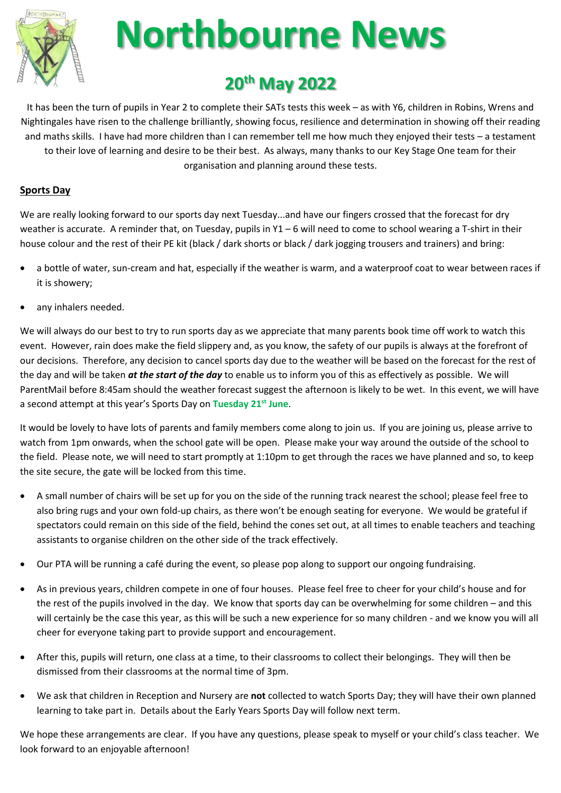

# **Northbourne News**

# **20th May 2022**

It has been the turn of pupils in Year 2 to complete their SATs tests this week – as with Y6, children in Robins, Wrens and Nightingales have risen to the challenge brilliantly, showing focus, resilience and determination in showing off their reading and maths skills. I have had more children than I can remember tell me how much they enjoyed their tests – a testament to their love of learning and desire to be their best. As always, many thanks to our Key Stage One team for their organisation and planning around these tests.

# **Sports Day**

We are really looking forward to our sports day next Tuesday...and have our fingers crossed that the forecast for dry weather is accurate. A reminder that, on Tuesday, pupils in  $Y1 - 6$  will need to come to school wearing a T-shirt in their house colour and the rest of their PE kit (black / dark shorts or black / dark jogging trousers and trainers) and bring:

- a bottle of water, sun-cream and hat, especially if the weather is warm, and a waterproof coat to wear between races if it is showery;
- any inhalers needed.

We will always do our best to try to run sports day as we appreciate that many parents book time off work to watch this event. However, rain does make the field slippery and, as you know, the safety of our pupils is always at the forefront of our decisions. Therefore, any decision to cancel sports day due to the weather will be based on the forecast for the rest of the day and will be taken *at the start of the day* to enable us to inform you of this as effectively as possible. We will ParentMail before 8:45am should the weather forecast suggest the afternoon is likely to be wet. In this event, we will have a second attempt at this year's Sports Day on **Tuesday 21st June**.

It would be lovely to have lots of parents and family members come along to join us. If you are joining us, please arrive to watch from 1pm onwards, when the school gate will be open. Please make your way around the outside of the school to the field. Please note, we will need to start promptly at 1:10pm to get through the races we have planned and so, to keep the site secure, the gate will be locked from this time.

- A small number of chairs will be set up for you on the side of the running track nearest the school; please feel free to also bring rugs and your own fold-up chairs, as there won't be enough seating for everyone. We would be grateful if spectators could remain on this side of the field, behind the cones set out, at all times to enable teachers and teaching assistants to organise children on the other side of the track effectively.
- Our PTA will be running a café during the event, so please pop along to support our ongoing fundraising.
- As in previous years, children compete in one of four houses. Please feel free to cheer for your child's house and for the rest of the pupils involved in the day. We know that sports day can be overwhelming for some children – and this will certainly be the case this year, as this will be such a new experience for so many children - and we know you will all cheer for everyone taking part to provide support and encouragement.
- After this, pupils will return, one class at a time, to their classrooms to collect their belongings. They will then be dismissed from their classrooms at the normal time of 3pm.
- We ask that children in Reception and Nursery are **not** collected to watch Sports Day; they will have their own planned learning to take part in. Details about the Early Years Sports Day will follow next term.

We hope these arrangements are clear. If you have any questions, please speak to myself or your child's class teacher. We look forward to an enjoyable afternoon!